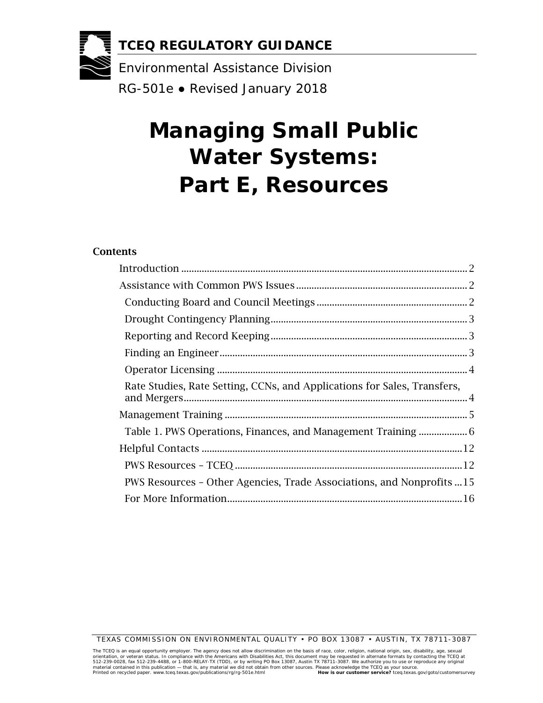

# **Managing Small Public Water Systems: Part E, Resources**

#### Contents

| Rate Studies, Rate Setting, CCNs, and Applications for Sales, Transfers, |  |
|--------------------------------------------------------------------------|--|
|                                                                          |  |
|                                                                          |  |
|                                                                          |  |
|                                                                          |  |
| PWS Resources - Other Agencies, Trade Associations, and Nonprofits 15    |  |
|                                                                          |  |

TEXAS COMMISSION ON ENVIRONMENTAL QUALITY • PO BOX 13087 • AUSTIN, TX 78711-3087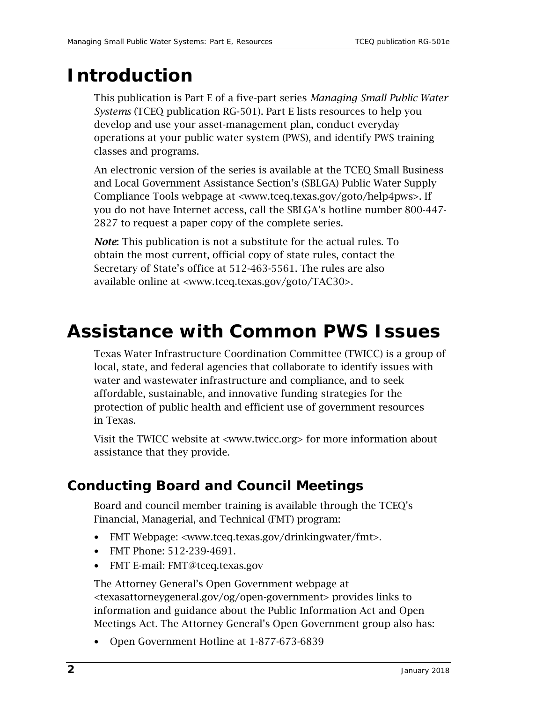## <span id="page-1-0"></span>**Introduction**

This publication is Part E of a five-part series *Managing Small Public Water Systems* (TCEQ publication RG-501). Part E lists resources to help you develop and use your asset-management plan, conduct everyday operations at your public water system (PWS), and identify PWS training classes and programs.

An electronic version of the series is available at the TCEQ Small Business and Local Government Assistance Section's (SBLGA) Public Water Supply Compliance Tools webpage at [<www.tceq.texas.gov/goto/help4pws>](http://www.tceq.texas.gov/goto/help4pws). If you do not have Internet access, call the SBLGA's hotline number 800-447- 2827 to request a paper copy of the complete series.

*Note*: This publication is not a substitute for the actual rules. To obtain the most current, official copy of state rules, contact the Secretary of State's office at 512-463-5561. The rules are also available online at [<www.tceq.texas.gov/goto/TAC30>](http://texreg.sos.state.tx.us/public/readtac$ext.ViewTAC?tac_view=2&ti=30).

## <span id="page-1-1"></span>**Assistance with Common PWS Issues**

Texas Water Infrastructure Coordination Committee (TWICC) is a group of local, state, and federal agencies that collaborate to identify issues with water and wastewater infrastructure and compliance, and to seek affordable, sustainable, and innovative funding strategies for the protection of public health and efficient use of government resources in Texas.

Visit the TWICC website at [<www.twicc.org>](http://www.twicc.org/) for more information about assistance that they provide.

### <span id="page-1-2"></span>**Conducting Board and Council Meetings**

Board and council member training is available through the TCEQ's Financial, Managerial, and Technical (FMT) program:

- FMT Webpage: [<www.tceq.texas.gov/drinkingwater/fmt>](https://www.tceq.texas.gov/drinkingwater/fmt).
- FMT Phone: 512-239-4691.
- FMT E-mail: [FMT@tceq.texas.gov](mailto:FMT@tceq.texas.gov)

The Attorney General's Open Government webpage at [<texasattorneygeneral.gov/og/open-government>](https://texasattorneygeneral.gov/og/open-government) provides links to information and guidance about the Public Information Act and Open Meetings Act. The Attorney General's Open Government group also has:

• Open Government Hotline at 1-877-673-6839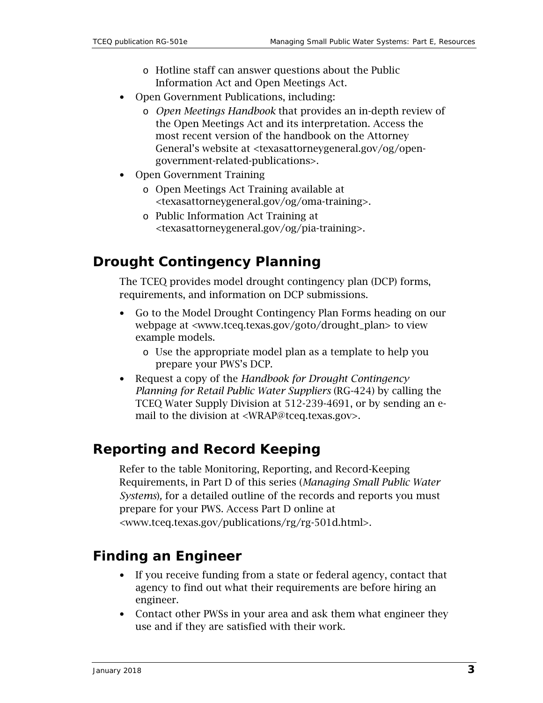- o Hotline staff can answer questions about the Public Information Act and Open Meetings Act.
- Open Government Publications, including:
	- o *Open Meetings Handbook* that provides an in-depth review of the Open Meetings Act and its interpretation. Access the most recent version of the handbook on the Attorney General's website at [<texasattorneygeneral.gov/og/open](https://texasattorneygeneral.gov/og/open-government-related-publications)[government-related-publications>](https://texasattorneygeneral.gov/og/open-government-related-publications).
- Open Government Training
	- o Open Meetings Act Training available at [<texasattorneygeneral.gov/og/oma-training>](https://texasattorneygeneral.gov/og/oma-training).
	- o Public Information Act Training at [<texasattorneygeneral.gov/og/pia-training>](https://texasattorneygeneral.gov/og/pia-training).

#### <span id="page-2-0"></span>**Drought Contingency Planning**

The TCEQ provides model drought contingency plan (DCP) forms, requirements, and information on DCP submissions.

- Go to the Model Drought Contingency Plan Forms heading on our webpage at [<www.tceq.texas.gov/goto/drought\\_plan>](http://www.tceq.texas.gov/permitting/water_rights/wr_technical-resources/contingency.html) to view example models.
	- o Use the appropriate model plan as a template to help you prepare your PWS's DCP.
- Request a copy of the *Handbook for Drought Contingency Planning for Retail Public Water Suppliers* (RG-424) by calling the TCEQ Water Supply Division at 512-239-4691, or by sending an email to the division at [<WRAP@tceq.texas.gov>](mailto:WRAP@tceq.texas.gov?subject=I%20need%20the%20-%20Handbook%20for%20Drought%20Contingency%20Planning%20for%20Retail%20Public%20Water%20Suppliers%20(RG-424)%20).

#### <span id="page-2-1"></span>**Reporting and Record Keeping**

Refer to the table Monitoring, Reporting, and Record-Keeping Requirements, in Part D of this series (*Managing Small Public Water Systems*)*,* for a detailed outline of the records and reports you must prepare for your PWS. Access Part D online at [<www.tceq.texas.gov/publications/rg/rg-501d.html>](https://www.tceq.texas.gov/publications/rg/rg-501d.html).

#### <span id="page-2-2"></span>**Finding an Engineer**

- If you receive funding from a state or federal agency, contact that agency to find out what their requirements are before hiring an engineer.
- Contact other PWSs in your area and ask them what engineer they use and if they are satisfied with their work.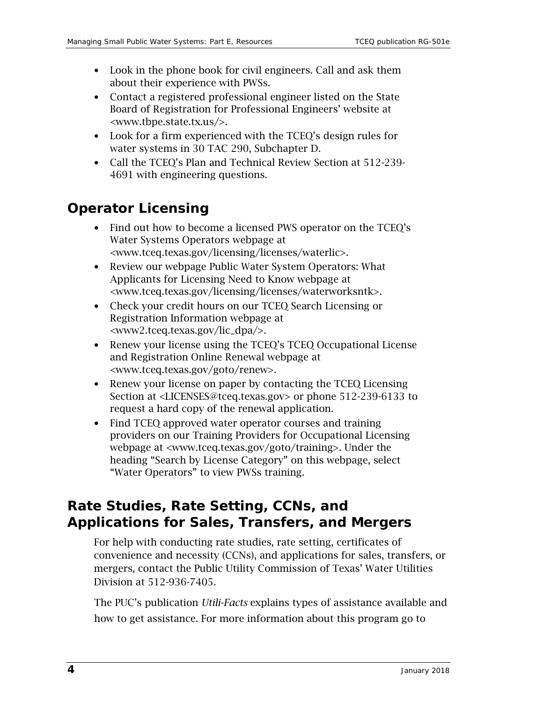- Look in the phone book for civil engineers. Call and ask them about their experience with PWSs.
- Contact a registered professional engineer listed on the State Board of Registration for Professional Engineers' website at [<www.tbpe.state.tx.us/>](http://www.tbpe.state.tx.us/).
- Look for a firm experienced with the TCEQ's design rules for water systems in 30 TAC 290, Subchapter D.
- Call the TCEQ's Plan and Technical Review Section at 512-239- 4691 with engineering questions.

### <span id="page-3-0"></span>**Operator Licensing**

- Find out how to become a licensed PWS operator on the TCEQ's Water Systems Operators webpage at [<www.tceq.texas.gov/licensing/licenses/waterlic>](http://www.tceq.texas.gov/licensing/licenses/waterlic).
- Review our webpage Public Water System Operators: What Applicants for Licensing Need to Know webpage at [<www.tceq.texas.gov/licensing/licenses/waterworksntk>](http://www.tceq.texas.gov/licensing/licenses/waterworksntk).
- Check your credit hours on our TCEQ Search Licensing or Registration Information webpage at [<www2.tceq.texas.gov/lic\\_dpa/>](http://www2.tceq.texas.gov/lic_dpa/).
- Renew your license using the TCEQ's TCEQ Occupational License and Registration Online Renewal webpage at [<www.tceq.texas.gov/goto/renew>](http://www.tceq.texas.gov/goto/renew).
- Renew your license on paper by contacting the TCEQ Licensing Section at [<LICENSES@tceq.texas.gov>](mailto:LICENSES@tceq.texas.gov?subject=Paper%20renewal%20request%20-%20please%20send%20renewal%20application) or phone 512-239-6133 to request a hard copy of the renewal application.
- Find TCEQ approved water operator courses and training providers on our Training Providers for Occupational Licensing webpage at [<www.tceq.texas.gov/goto/training>](https://www.tceq.texas.gov/goto/training). Under the heading "Search by License Category" on this webpage, select "Water Operators" to view PWSs training.

#### <span id="page-3-1"></span>**Rate Studies, Rate Setting, CCNs, and Applications for Sales, Transfers, and Mergers**

For help with conducting rate studies, rate setting, certificates of convenience and necessity (CCNs), and applications for sales, transfers, or mergers, contact the Public Utility Commission of Texas' Water Utilities Division at 512-936-7405.

The PUC's publication *Utili-Facts* explains types of assistance available and how to get assistance. For more information about this program go to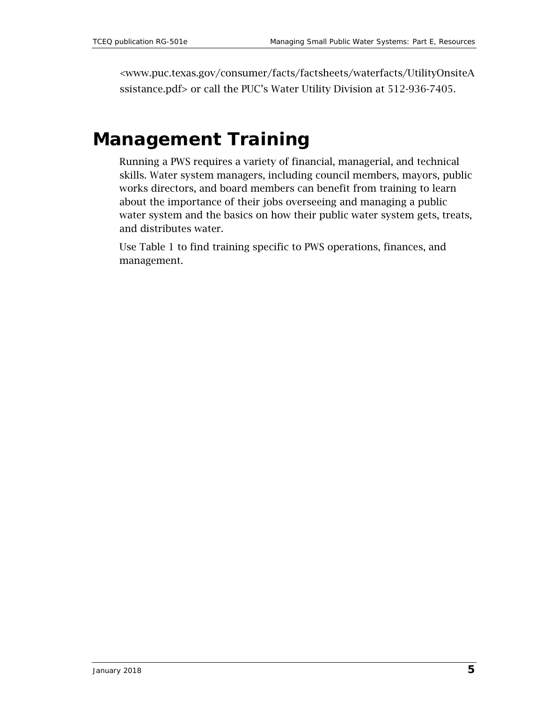[<www.puc.texas.gov/consumer/facts/factsheets/waterfacts/UtilityOnsiteA](http://www.puc.texas.gov/consumer/facts/factsheets/waterfacts/UtilityOnsiteAssistance.pdf) [ssistance.pdf>](http://www.puc.texas.gov/consumer/facts/factsheets/waterfacts/UtilityOnsiteAssistance.pdf) or call the PUC's Water Utility Division at 512-936-7405.

### <span id="page-4-0"></span>**Management Training**

Running a PWS requires a variety of financial, managerial, and technical skills. Water system managers, including council members, mayors, public works directors, and board members can benefit from training to learn about the importance of their jobs overseeing and managing a public water system and the basics on how their public water system gets, treats, and distributes water.

Use Table 1 to find training specific to PWS operations, finances, and management.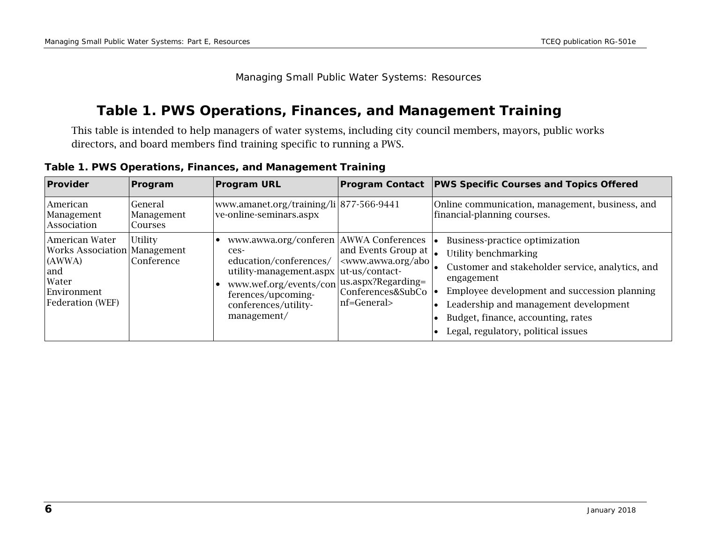Managing Small Public Water Systems: Resources

#### **Table 1. PWS Operations, Finances, and Management Training**

This table is intended to help managers of water systems, including city council members, mayors, public works directors, and board members find training specific to running a PWS.

<span id="page-5-0"></span>

| Provider                                                                                                                  | Program                          | <b>Program URL</b>                                                                                                                                                                                                           |                                                                                                                          | <b>Program Contact</b> PWS Specific Courses and Topics Offered                                                                                                                                                                                                                                 |
|---------------------------------------------------------------------------------------------------------------------------|----------------------------------|------------------------------------------------------------------------------------------------------------------------------------------------------------------------------------------------------------------------------|--------------------------------------------------------------------------------------------------------------------------|------------------------------------------------------------------------------------------------------------------------------------------------------------------------------------------------------------------------------------------------------------------------------------------------|
| American<br>Management<br>Association                                                                                     | General<br>Management<br>Courses | www.amanet.org/training/li 877-566-9441<br>ve-online-seminars.aspx                                                                                                                                                           |                                                                                                                          | Online communication, management, business, and<br>financial-planning courses.                                                                                                                                                                                                                 |
| American Water<br><b>Works Association Management</b><br>(AWWA)<br>and<br>Water<br>Environment<br><b>Federation</b> (WEF) | <b>Utility</b><br>Conference     | www.awwa.org/conferen AWWA Conferences<br>ces-<br>education/conferences/<br>utility-management.aspx ut-us/contact-<br>www.wef.org/events/con us.aspx?Regarding=<br>ferences/upcoming-<br>conferences/utility-<br>management/ | and Events Group at $\vert_{\bullet}$<br><www.awwa.org abo<br="">Conferences&amp;SubCo<br/>nf=General&gt;</www.awwa.org> | Business-practice optimization<br>Utility benchmarking<br>Customer and stakeholder service, analytics, and<br>engagement<br>Employee development and succession planning<br>Leadership and management development<br>Budget, finance, accounting, rates<br>Legal, regulatory, political issues |

**Table 1. PWS Operations, Finances, and Management Training**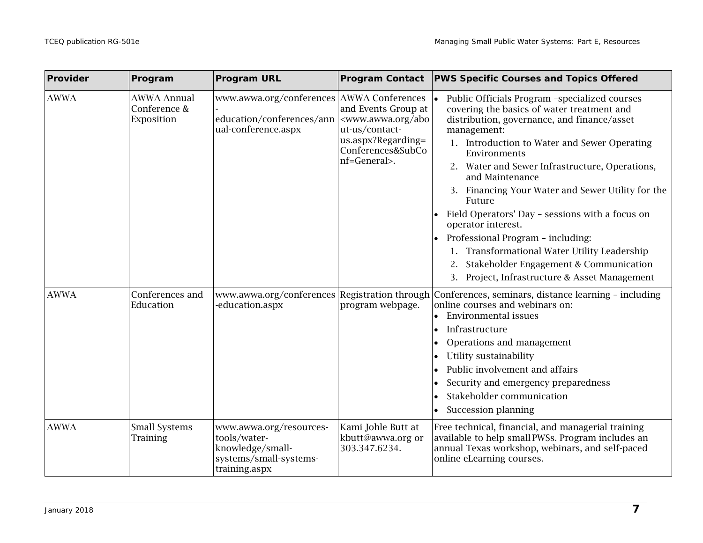| Provider    | Program                                          | <b>Program URL</b>                                                                                     | <b>Program Contact</b>                                                                                                                            | <b>PWS Specific Courses and Topics Offered</b>                                                                                                                                                                                                                                                                                                                                                                                                                                                                                                                                                                               |  |
|-------------|--------------------------------------------------|--------------------------------------------------------------------------------------------------------|---------------------------------------------------------------------------------------------------------------------------------------------------|------------------------------------------------------------------------------------------------------------------------------------------------------------------------------------------------------------------------------------------------------------------------------------------------------------------------------------------------------------------------------------------------------------------------------------------------------------------------------------------------------------------------------------------------------------------------------------------------------------------------------|--|
| <b>AWWA</b> | <b>AWWA Annual</b><br>Conference &<br>Exposition | www.awwa.org/conferences AWWA Conferences<br>education/conferences/ann<br>ual-conference.aspx          | and Events Group at<br><www.awwa.org abo<br="">ut-us/contact-<br/>us.aspx?Regarding=<br/>Conferences&amp;SubCo<br/>nf=General&gt;.</www.awwa.org> | Public Officials Program -specialized courses<br>covering the basics of water treatment and<br>distribution, governance, and finance/asset<br>management:<br>1. Introduction to Water and Sewer Operating<br>Environments<br>2. Water and Sewer Infrastructure, Operations,<br>and Maintenance<br>3. Financing Your Water and Sewer Utility for the<br>Future<br>Field Operators' Day - sessions with a focus on<br>operator interest.<br>Professional Program - including:<br>1. Transformational Water Utility Leadership<br>Stakeholder Engagement & Communication<br>2.<br>3. Project, Infrastructure & Asset Management |  |
| <b>AWWA</b> | Conferences and<br>Education                     | education.aspx                                                                                         | program webpage.                                                                                                                                  | www.awwa.org/conferences Registration through Conferences, seminars, distance learning - including<br>online courses and webinars on:<br><b>Environmental issues</b><br>Infrastructure<br>I۰<br>Operations and management<br>Utility sustainability<br>lo<br>Public involvement and affairs<br>Security and emergency preparedness<br>Stakeholder communication<br>Succession planning                                                                                                                                                                                                                                       |  |
| <b>AWWA</b> | <b>Small Systems</b><br><b>Training</b>          | www.awwa.org/resources-<br>tools/water-<br>knowledge/small-<br>systems/small-systems-<br>training.aspx | Kami Johle Butt at<br>kbutt@awwa.org or<br>303.347.6234.                                                                                          | Free technical, financial, and managerial training<br>available to help small PWSs. Program includes an<br>annual Texas workshop, webinars, and self-paced<br>online eLearning courses.                                                                                                                                                                                                                                                                                                                                                                                                                                      |  |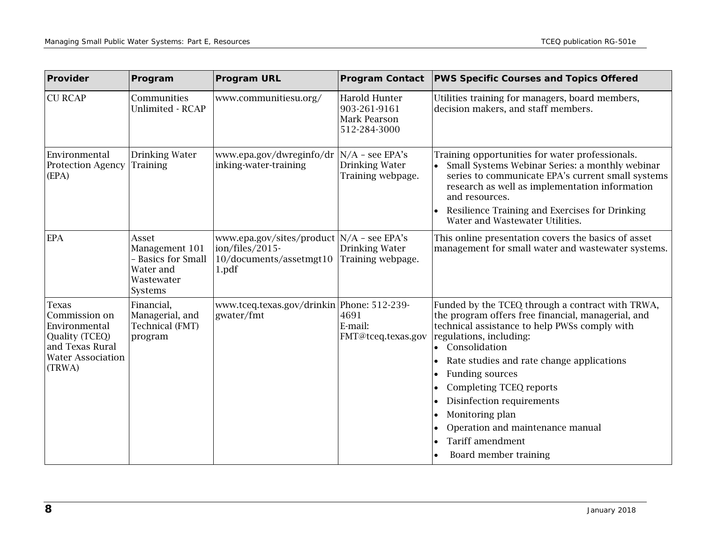| Provider                                                                                                                  | Program                                                                             | <b>Program URL</b>                                                                                 | <b>Program Contact</b>                                        | <b>PWS Specific Courses and Topics Offered</b>                                                                                                                                                                                                                                                                                                                                                                                                                           |  |
|---------------------------------------------------------------------------------------------------------------------------|-------------------------------------------------------------------------------------|----------------------------------------------------------------------------------------------------|---------------------------------------------------------------|--------------------------------------------------------------------------------------------------------------------------------------------------------------------------------------------------------------------------------------------------------------------------------------------------------------------------------------------------------------------------------------------------------------------------------------------------------------------------|--|
| <b>CU RCAP</b>                                                                                                            | Communities<br><b>Unlimited - RCAP</b>                                              | www.communitiesu.org/                                                                              | Harold Hunter<br>903-261-9161<br>Mark Pearson<br>512-284-3000 | Utilities training for managers, board members,<br>decision makers, and staff members.                                                                                                                                                                                                                                                                                                                                                                                   |  |
| Environmental<br><b>Protection Agency</b><br>(EPA)                                                                        | Drinking Water<br><b>Training</b>                                                   | www.epa.gov/dwreginfo/dr  N/A - see EPA's<br>inking-water-training                                 | Drinking Water<br>Training webpage.                           | Training opportunities for water professionals.<br>Small Systems Webinar Series: a monthly webinar<br>series to communicate EPA's current small systems<br>research as well as implementation information<br>and resources.<br>Resilience Training and Exercises for Drinking<br>Water and Wastewater Utilities.                                                                                                                                                         |  |
| <b>EPA</b>                                                                                                                | Asset<br>Management 101<br>- Basics for Small<br>Water and<br>Wastewater<br>Systems | www.epa.gov/sites/product   N/A - see EPA's<br>ion/files/2015-<br>10/documents/assetmgt10<br>1.pdf | Drinking Water<br>Training webpage.                           | This online presentation covers the basics of asset<br>management for small water and wastewater systems.                                                                                                                                                                                                                                                                                                                                                                |  |
| <b>Texas</b><br>Commission on<br>Environmental<br>Quality (TCEQ)<br>and Texas Rural<br><b>Water Association</b><br>(TRWA) | Financial,<br>Managerial, and<br>Technical (FMT)<br>program                         | www.tceq.texas.gov/drinkin   Phone: 512-239-<br>gwater/fmt                                         | 4691<br>E-mail:<br>FMT@tceq.texas.gov                         | Funded by the TCEQ through a contract with TRWA,<br>the program offers free financial, managerial, and<br>technical assistance to help PWSs comply with<br>regulations, including:<br>Consolidation<br>Rate studies and rate change applications<br>$\bullet$<br>Funding sources<br>٠<br>Completing TCEQ reports<br>$\bullet$<br>Disinfection requirements<br>٠<br>Monitoring plan<br>٠<br>Operation and maintenance manual<br>Tariff amendment<br>Board member training |  |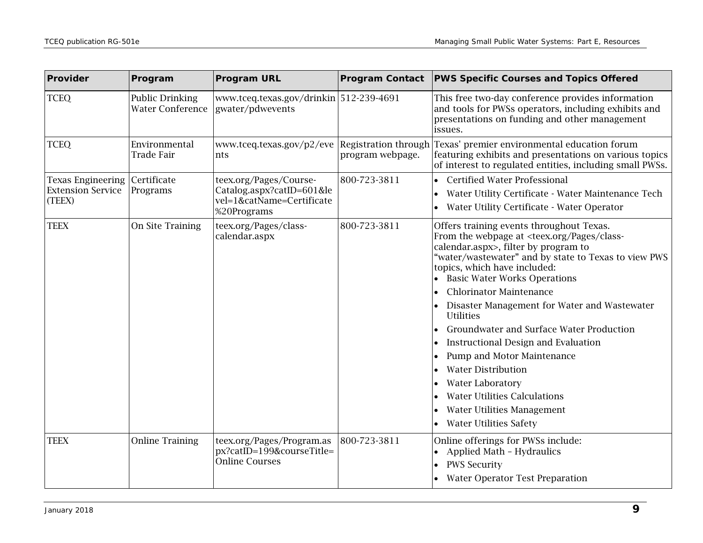| Provider                                                       | Program                                    | <b>Program URL</b>                                                                            |                  | Program Contact   PWS Specific Courses and Topics Offered                                                                                                                                                                                                                                                                                                                                                                                                                                                                                                                                                                                                                                                                                                                                                          |
|----------------------------------------------------------------|--------------------------------------------|-----------------------------------------------------------------------------------------------|------------------|--------------------------------------------------------------------------------------------------------------------------------------------------------------------------------------------------------------------------------------------------------------------------------------------------------------------------------------------------------------------------------------------------------------------------------------------------------------------------------------------------------------------------------------------------------------------------------------------------------------------------------------------------------------------------------------------------------------------------------------------------------------------------------------------------------------------|
| <b>TCEQ</b>                                                    | Public Drinking<br><b>Water Conference</b> | www.tceq.texas.gov/drinkin 512-239-4691<br>gwater/pdwevents                                   |                  | This free two-day conference provides information<br>and tools for PWSs operators, including exhibits and<br>presentations on funding and other management<br>issues.                                                                                                                                                                                                                                                                                                                                                                                                                                                                                                                                                                                                                                              |
| <b>TCEQ</b>                                                    | Environmental<br>Trade Fair                | www.tceq.texas.gov/p2/eve Registration through<br>nts                                         | program webpage. | Texas' premier environmental education forum<br>featuring exhibits and presentations on various topics<br>of interest to regulated entities, including small PWSs.                                                                                                                                                                                                                                                                                                                                                                                                                                                                                                                                                                                                                                                 |
| <b>Texas Engineering</b><br><b>Extension Service</b><br>(TEEX) | Certificate<br>Programs                    | teex.org/Pages/Course-<br>Catalog.aspx?catID=601≤<br>vel=1&catName=Certificate<br>%20Programs | 800-723-3811     | <b>Certified Water Professional</b><br>Water Utility Certificate - Water Maintenance Tech<br>Water Utility Certificate - Water Operator                                                                                                                                                                                                                                                                                                                                                                                                                                                                                                                                                                                                                                                                            |
| <b>TEEX</b>                                                    | On Site Training                           | teex.org/Pages/class-<br>calendar.aspx                                                        | 800-723-3811     | Offers training events throughout Texas.<br>From the webpage at <teex.org class-<br="" pages="">calendar.aspx&gt;, filter by program to<br/>"water/wastewater" and by state to Texas to view PWS<br/>topics, which have included:<br/><b>Basic Water Works Operations</b><br/><b>Chlorinator Maintenance</b><br/>Disaster Management for Water and Wastewater<br/><b>Utilities</b><br/>Groundwater and Surface Water Production<br/>Instructional Design and Evaluation<br/><math display="inline">\bullet</math><br/>Pump and Motor Maintenance<br/><math display="inline">\bullet</math><br/><b>Water Distribution</b><br/><math display="inline">\bullet</math><br/><b>Water Laboratory</b><br/><b>Water Utilities Calculations</b><br/>Water Utilities Management<br/><b>Water Utilities Safety</b></teex.org> |
| <b>TEEX</b>                                                    | <b>Online Training</b>                     | teex.org/Pages/Program.as<br>px?catID=199&courseTitle=<br><b>Online Courses</b>               | 800-723-3811     | Online offerings for PWSs include:<br>Applied Math - Hydraulics<br>$\bullet$<br><b>PWS Security</b><br>$\bullet$<br><b>Water Operator Test Preparation</b>                                                                                                                                                                                                                                                                                                                                                                                                                                                                                                                                                                                                                                                         |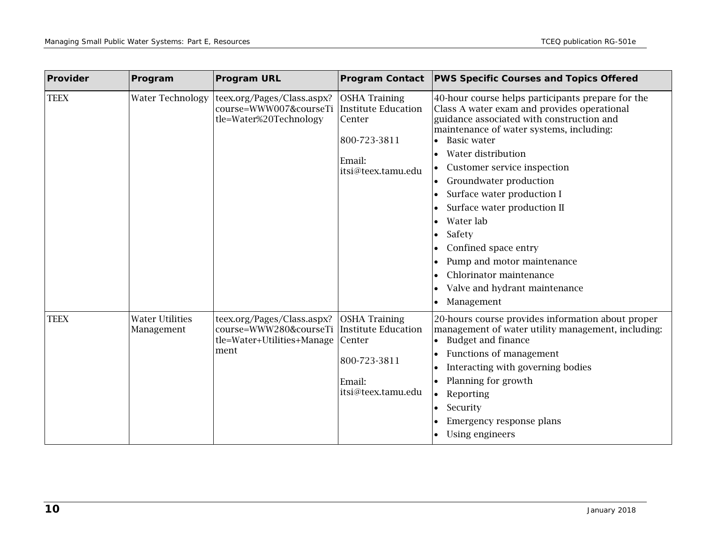| Provider    | Program                              | <b>Program URL</b>                                                                         | <b>Program Contact</b>                                                                                       | <b>PWS Specific Courses and Topics Offered</b>                                                                                                                                                                                                                                                                                                                                                                                                                                                                                                    |
|-------------|--------------------------------------|--------------------------------------------------------------------------------------------|--------------------------------------------------------------------------------------------------------------|---------------------------------------------------------------------------------------------------------------------------------------------------------------------------------------------------------------------------------------------------------------------------------------------------------------------------------------------------------------------------------------------------------------------------------------------------------------------------------------------------------------------------------------------------|
| <b>TEEX</b> | <b>Water Technology</b>              | teex.org/Pages/Class.aspx?<br>course=WWW007&courseTi<br>tle=Water%20Technology             | <b>OSHA Training</b><br><b>Institute Education</b><br>Center<br>800-723-3811<br>Email:<br>itsi@teex.tamu.edu | 40-hour course helps participants prepare for the<br>Class A water exam and provides operational<br>guidance associated with construction and<br>maintenance of water systems, including:<br><b>Basic water</b><br>Water distribution<br>$\bullet$<br>Customer service inspection<br>Groundwater production<br>$\bullet$<br>Surface water production I<br>٠<br>Surface water production II<br>Water lab<br>Safety<br>Confined space entry<br>Pump and motor maintenance<br>Chlorinator maintenance<br>Valve and hydrant maintenance<br>Management |
| <b>TEEX</b> | <b>Water Utilities</b><br>Management | teex.org/Pages/Class.aspx?<br>course=WWW280&courseTi<br>tle=Water+Utilities+Manage<br>ment | <b>OSHA Training</b><br>Institute Education<br>Center<br>800-723-3811<br>Email:<br>itsi@teex.tamu.edu        | 20-hours course provides information about proper<br>management of water utility management, including:<br><b>Budget and finance</b><br>$\bullet$<br>Functions of management<br>Interacting with governing bodies<br>Planning for growth<br>Reporting<br>$\bullet$<br>Security<br>٠<br>Emergency response plans<br>Using engineers                                                                                                                                                                                                                |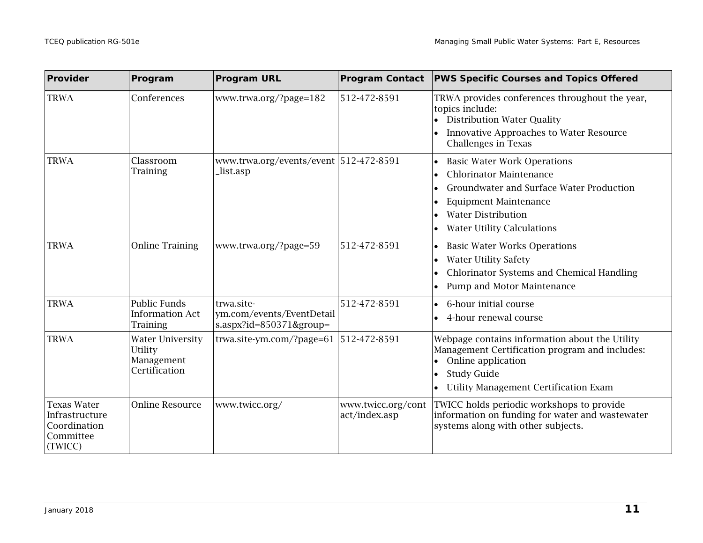| Provider                                                                     | Program                                                           | <b>Program URL</b>                                                 | <b>Program Contact</b>              | <b>PWS Specific Courses and Topics Offered</b>                                                                                                                                                                                                    |  |
|------------------------------------------------------------------------------|-------------------------------------------------------------------|--------------------------------------------------------------------|-------------------------------------|---------------------------------------------------------------------------------------------------------------------------------------------------------------------------------------------------------------------------------------------------|--|
| <b>TRWA</b>                                                                  | Conferences                                                       | www.trwa.org/?page=182                                             | 512-472-8591                        | TRWA provides conferences throughout the year,<br>topics include:<br>• Distribution Water Quality<br>Innovative Approaches to Water Resource<br><b>Challenges in Texas</b>                                                                        |  |
| <b>TRWA</b>                                                                  | Classroom<br>Training                                             | www.trwa.org/events/event   512-472-8591<br>list.asp_              |                                     | <b>Basic Water Work Operations</b><br>$\bullet$<br><b>Chlorinator Maintenance</b><br>$\bullet$<br>Groundwater and Surface Water Production<br><b>Equipment Maintenance</b><br>٠<br><b>Water Distribution</b><br><b>Water Utility Calculations</b> |  |
| <b>TRWA</b>                                                                  | <b>Online Training</b>                                            | www.trwa.org/?page=59                                              | 512-472-8591                        | <b>Basic Water Works Operations</b><br><b>Water Utility Safety</b><br>$\bullet$<br>Chlorinator Systems and Chemical Handling<br>$\bullet$<br>Pump and Motor Maintenance                                                                           |  |
| <b>TRWA</b>                                                                  | Public Funds<br><b>Information Act</b><br><b>Training</b>         | trwa.site-<br>ym.com/events/EventDetail<br>s.aspx?id=850371&group= | 512-472-8591                        | 6-hour initial course<br>$\bullet$<br>4-hour renewal course                                                                                                                                                                                       |  |
| <b>TRWA</b>                                                                  | <b>Water University</b><br>Utility<br>Management<br>Certification | trwa.site-ym.com/?page=61   512-472-8591                           |                                     | Webpage contains information about the Utility<br>Management Certification program and includes:<br>Online application<br>$\bullet$<br><b>Study Guide</b><br>٠<br><b>Utility Management Certification Exam</b>                                    |  |
| <b>Texas Water</b><br>Infrastructure<br>Coordination<br>Committee<br>(TWICC) | <b>Online Resource</b>                                            | www.twicc.org/                                                     | www.twicc.org/cont<br>act/index.asp | TWICC holds periodic workshops to provide<br>information on funding for water and wastewater<br>systems along with other subjects.                                                                                                                |  |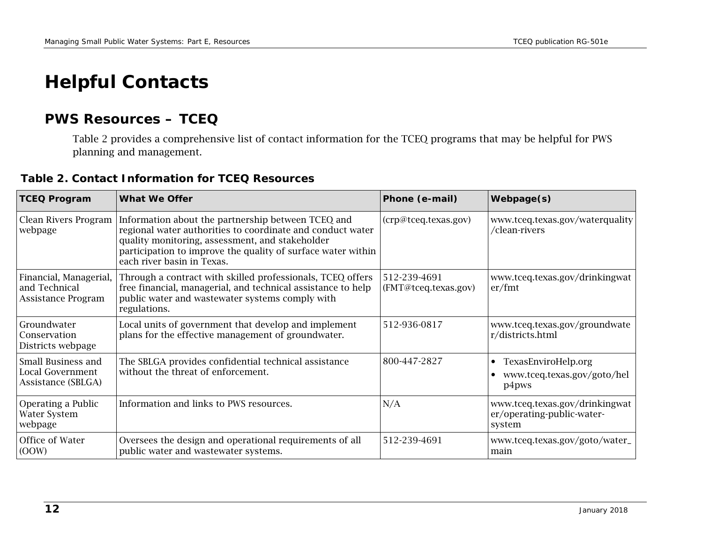## **Helpful Contacts**

#### **PWS Resources – TCEQ**

Table 2 provides a comprehensive list of contact information for the TCEQ programs that may be helpful for PWS planning and management.

|  |  |  | Table 2. Contact Information for TCEQ Resources |
|--|--|--|-------------------------------------------------|
|--|--|--|-------------------------------------------------|

<span id="page-11-1"></span><span id="page-11-0"></span>

| <b>TCEQ Program</b>                                           | What We Offer                                                                                                                                                                                                                                                                                                  | Phone (e-mail)                       | <b>Webpage(s)</b>                                                        |
|---------------------------------------------------------------|----------------------------------------------------------------------------------------------------------------------------------------------------------------------------------------------------------------------------------------------------------------------------------------------------------------|--------------------------------------|--------------------------------------------------------------------------|
| webpage                                                       | Clean Rivers Program Information about the partnership between TCEQ and<br>(crp@tceq.texas.gov)<br>regional water authorities to coordinate and conduct water<br>quality monitoring, assessment, and stakeholder<br>participation to improve the quality of surface water within<br>each river basin in Texas. |                                      | www.tceq.texas.gov/waterquality<br>/clean-rivers                         |
| Financial, Managerial,<br>and Technical<br>Assistance Program | Through a contract with skilled professionals, TCEQ offers<br>free financial, managerial, and technical assistance to help<br>public water and wastewater systems comply with<br>regulations.                                                                                                                  | 512-239-4691<br>(FMT@tceq.texas.gov) | www.tceq.texas.gov/drinkingwat<br>er/fmt                                 |
| Groundwater<br>Conservation<br>Districts webpage              | Local units of government that develop and implement<br>plans for the effective management of groundwater.                                                                                                                                                                                                     | 512-936-0817                         | www.tceq.texas.gov/groundwate<br>r/districts.html                        |
| Small Business and<br>Local Government<br>Assistance (SBLGA)  | The SBLGA provides confidential technical assistance<br>without the threat of enforcement.                                                                                                                                                                                                                     | 800-447-2827                         | TexasEnviroHelp.org<br>$\bullet$<br>www.tceq.texas.gov/goto/hel<br>p4pws |
| Operating a Public<br>Water System<br>webpage                 | Information and links to PWS resources.                                                                                                                                                                                                                                                                        | N/A                                  | www.tceq.texas.gov/drinkingwat<br>er/operating-public-water-<br>system   |
| Office of Water<br>(OOW)                                      | Oversees the design and operational requirements of all<br>public water and wastewater systems.                                                                                                                                                                                                                | 512-239-4691                         | www.tceq.texas.gov/goto/water_<br>main                                   |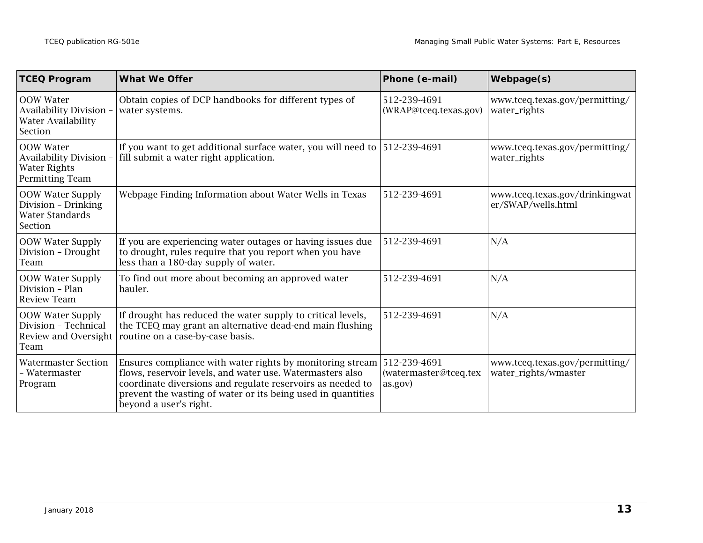| <b>TCEQ Program</b>                                                                          | <b>What We Offer</b>                                                                                                                                                                                                                                                                        | Phone (e-mail)                        | Webpage(s)                                             |
|----------------------------------------------------------------------------------------------|---------------------------------------------------------------------------------------------------------------------------------------------------------------------------------------------------------------------------------------------------------------------------------------------|---------------------------------------|--------------------------------------------------------|
| <b>OOW</b> Water<br>Availability Division -<br>Water Availability<br>Section                 | Obtain copies of DCP handbooks for different types of<br>water systems.                                                                                                                                                                                                                     | 512-239-4691<br>(WRAP@tceq.texas.gov) | www.tceq.texas.gov/permitting/<br>water_rights         |
| <b>OOW Water</b><br><b>Availability Division -</b><br><b>Water Rights</b><br>Permitting Team | If you want to get additional surface water, you will need to $ 512-239-4691$<br>fill submit a water right application.                                                                                                                                                                     |                                       | www.tceq.texas.gov/permitting/<br>water_rights         |
| <b>OOW Water Supply</b><br>Division - Drinking<br><b>Water Standards</b><br>Section          | Webpage Finding Information about Water Wells in Texas                                                                                                                                                                                                                                      | 512-239-4691                          | www.tceq.texas.gov/drinkingwat<br>er/SWAP/wells.html   |
| OOW Water Supply<br>Division - Drought<br>Team                                               | If you are experiencing water outages or having issues due<br>to drought, rules require that you report when you have<br>less than a 180-day supply of water.                                                                                                                               | 512-239-4691                          | N/A                                                    |
| <b>OOW Water Supply</b><br>Division - Plan<br><b>Review Team</b>                             | To find out more about becoming an approved water<br>hauler.                                                                                                                                                                                                                                | 512-239-4691                          | N/A                                                    |
| <b>OOW Water Supply</b><br>Division - Technical<br>Review and Oversight<br>Team              | If drought has reduced the water supply to critical levels,<br>the TCEQ may grant an alternative dead-end main flushing<br>routine on a case-by-case basis.                                                                                                                                 | 512-239-4691                          | N/A                                                    |
| <b>Watermaster Section</b><br>- Watermaster<br>Program                                       | Ensures compliance with water rights by monitoring stream 512-239-4691<br>flows, reservoir levels, and water use. Watermasters also<br>coordinate diversions and regulate reservoirs as needed to<br>prevent the wasting of water or its being used in quantities<br>beyond a user's right. | (watermaster@tceq.tex<br>as.gov)      | www.tceq.texas.gov/permitting/<br>water_rights/wmaster |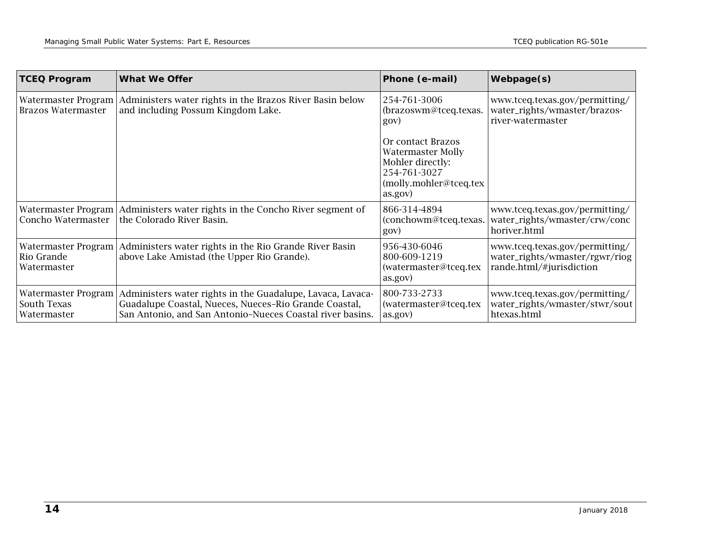| <b>TCEQ Program</b>                               | <b>What We Offer</b>                                                                                                                                                             | Phone (e-mail)                                                                                                         | <b>Webpage(s)</b>                                                                            |
|---------------------------------------------------|----------------------------------------------------------------------------------------------------------------------------------------------------------------------------------|------------------------------------------------------------------------------------------------------------------------|----------------------------------------------------------------------------------------------|
| Watermaster Program<br><b>Brazos Watermaster</b>  | Administers water rights in the Brazos River Basin below<br>and including Possum Kingdom Lake.                                                                                   | 254-761-3006<br>(brazoswm@tceq.texas.<br>gov)                                                                          | www.tceq.texas.gov/permitting/<br>water_rights/wmaster/brazos-<br>river-watermaster          |
|                                                   |                                                                                                                                                                                  | Or contact Brazos<br><b>Watermaster Molly</b><br>Mohler directly:<br>254-761-3027<br>(molly.mohler@tceq.tex<br>as.gov) |                                                                                              |
| Concho Watermaster                                | Watermaster Program   Administers water rights in the Concho River segment of<br>the Colorado River Basin.                                                                       | 866-314-4894<br>(conchowm@tceq.texas.  <br>gov)                                                                        | www.tceq.texas.gov/permitting/<br>water_rights/wmaster/crw/conc<br>horiver.html              |
| Watermaster Program<br>Rio Grande<br>Watermaster  | Administers water rights in the Rio Grande River Basin<br>above Lake Amistad (the Upper Rio Grande).                                                                             | 956-430-6046<br>800-609-1219<br>(watermaster@tceq.tex<br>as.gov)                                                       | www.tceq.texas.gov/permitting/<br>water_rights/wmaster/rgwr/riog<br>rande.html/#jurisdiction |
| Watermaster Program<br>South Texas<br>Watermaster | Administers water rights in the Guadalupe, Lavaca, Lavaca-<br>Guadalupe Coastal, Nueces, Nueces-Rio Grande Coastal,<br>San Antonio, and San Antonio-Nueces Coastal river basins. | 800-733-2733<br>(watermaster@tceq.tex<br>as.gov)                                                                       | www.tceq.texas.gov/permitting/<br>water_rights/wmaster/stwr/sout<br>htexas.html              |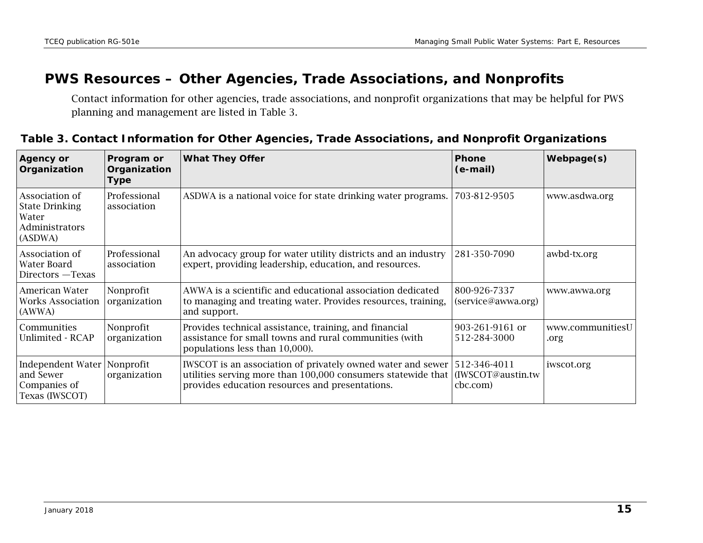#### **PWS Resources – Other Agencies, Trade Associations, and Nonprofits**

Contact information for other agencies, trade associations, and nonprofit organizations that may be helpful for PWS planning and management are listed in Table 3.

#### **Table 3. Contact Information for Other Agencies, Trade Associations, and Nonprofit Organizations**

<span id="page-14-0"></span>

| <b>Agency or</b><br>Organization                                              | Program or<br>Organization<br><b>Type</b> | <b>What They Offer</b>                                                                                                                                                         | <b>Phone</b><br>(e-mail)                      | <b>Webpage(s)</b>        |
|-------------------------------------------------------------------------------|-------------------------------------------|--------------------------------------------------------------------------------------------------------------------------------------------------------------------------------|-----------------------------------------------|--------------------------|
| Association of<br><b>State Drinking</b><br>Water<br>Administrators<br>(ASDWA) | Professional<br>association               | ASDWA is a national voice for state drinking water programs.                                                                                                                   | 703-812-9505                                  | www.asdwa.org            |
| Association of<br>Water Board<br>Directors - Texas                            | Professional<br>association               | An advocacy group for water utility districts and an industry<br>expert, providing leadership, education, and resources.                                                       | 281-350-7090                                  | awbd-tx.org              |
| American Water<br>Works Association<br>(AWWA)                                 | Nonprofit<br>organization                 | AWWA is a scientific and educational association dedicated<br>to managing and treating water. Provides resources, training,<br>and support.                                    | 800-926-7337<br>(service@awwa.org)            | www.awwa.org             |
| Communities<br>Unlimited - RCAP                                               | Nonprofit<br>organization                 | Provides technical assistance, training, and financial<br>assistance for small towns and rural communities (with<br>populations less than 10,000).                             | 903-261-9161 or<br>512-284-3000               | www.communitiesU<br>.org |
| Independent Water<br>and Sewer<br>Companies of<br>Texas (IWSCOT)              | Nonprofit<br>organization                 | IWSCOT is an association of privately owned water and sewer<br>utilities serving more than 100,000 consumers statewide that<br>provides education resources and presentations. | 512-346-4011<br>(IWSCOT@austin.tw<br>cbc.com) | iwscot.org               |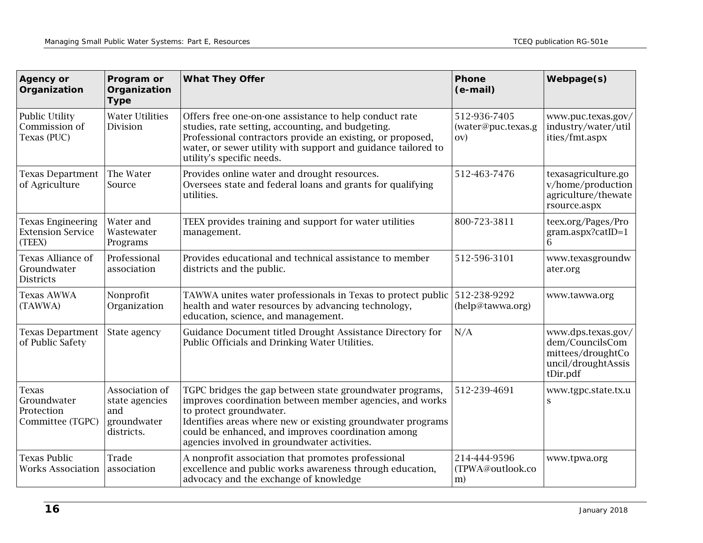| <b>Agency or</b><br>Organization                               | Program or<br>Organization<br><b>Type</b>                            | <b>What They Offer</b>                                                                                                                                                                                                                                                                                               | Phone<br>(e-mail)                         | Webpage(s)                                                                                   |
|----------------------------------------------------------------|----------------------------------------------------------------------|----------------------------------------------------------------------------------------------------------------------------------------------------------------------------------------------------------------------------------------------------------------------------------------------------------------------|-------------------------------------------|----------------------------------------------------------------------------------------------|
| Public Utility<br>Commission of<br>Texas (PUC)                 | <b>Water Utilities</b><br>Division                                   | Offers free one-on-one assistance to help conduct rate<br>studies, rate setting, accounting, and budgeting.<br>Professional contractors provide an existing, or proposed,<br>water, or sewer utility with support and guidance tailored to<br>utility's specific needs.                                              | 512-936-7405<br>(water@puc.texas.g<br>(OV | www.puc.texas.gov/<br>industry/water/util<br>ities/fmt.aspx                                  |
| <b>Texas Department</b><br>of Agriculture                      | The Water<br>Source                                                  | Provides online water and drought resources.<br>Oversees state and federal loans and grants for qualifying<br>utilities.                                                                                                                                                                                             | 512-463-7476                              | texasagriculture.go<br>v/home/production<br>agriculture/thewate<br>rsource.aspx              |
| <b>Texas Engineering</b><br><b>Extension Service</b><br>(TEEX) | Water and<br>Wastewater<br>Programs                                  | TEEX provides training and support for water utilities<br>management.                                                                                                                                                                                                                                                | 800-723-3811                              | teex.org/Pages/Pro<br>gram.aspx?catID=1<br>6                                                 |
| Texas Alliance of<br>Groundwater<br><b>Districts</b>           | Professional<br>association                                          | Provides educational and technical assistance to member<br>districts and the public.                                                                                                                                                                                                                                 | 512-596-3101                              | www.texasgroundw<br>ater.org                                                                 |
| <b>Texas AWWA</b><br>(TAWWA)                                   | Nonprofit<br>Organization                                            | TAWWA unites water professionals in Texas to protect public<br>health and water resources by advancing technology,<br>education, science, and management.                                                                                                                                                            | 512-238-9292<br>(help@tawwa.org)          | www.tawwa.org                                                                                |
| <b>Texas Department</b><br>of Public Safety                    | State agency                                                         | Guidance Document titled Drought Assistance Directory for<br>Public Officials and Drinking Water Utilities.                                                                                                                                                                                                          | N/A                                       | www.dps.texas.gov/<br>dem/CouncilsCom<br>mittees/droughtCo<br>uncil/droughtAssis<br>tDir.pdf |
| <b>Texas</b><br>Groundwater<br>Protection<br>Committee (TGPC)  | Association of<br>state agencies<br>and<br>groundwater<br>districts. | TGPC bridges the gap between state groundwater programs,<br>improves coordination between member agencies, and works<br>to protect groundwater.<br>Identifies areas where new or existing groundwater programs<br>could be enhanced, and improves coordination among<br>agencies involved in groundwater activities. | 512-239-4691                              | www.tgpc.state.tx.u<br>S                                                                     |
| <b>Texas Public</b><br><b>Works Association</b>                | Trade<br>association                                                 | A nonprofit association that promotes professional<br>excellence and public works awareness through education,<br>advocacy and the exchange of knowledge                                                                                                                                                             | 214-444-9596<br>(TPWA@outlook.co<br>m)    | www.tpwa.org                                                                                 |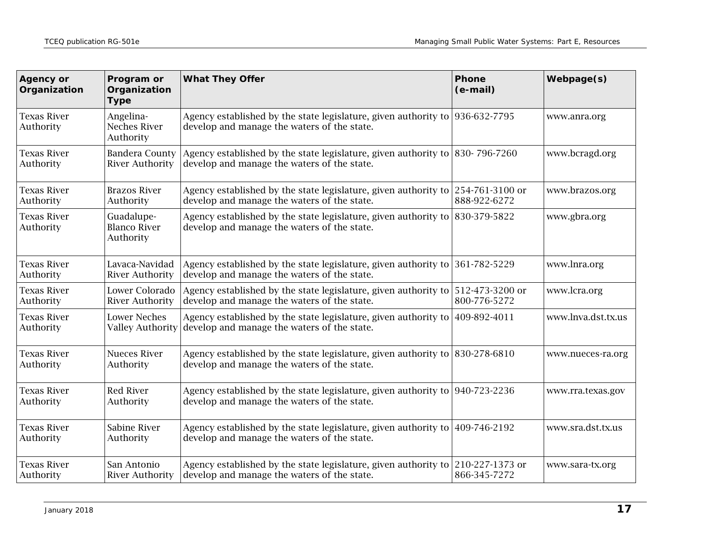| <b>Agency or</b><br>Organization | Program or<br>Organization<br><b>Type</b>       | <b>What They Offer</b>                                                                                                      | <b>Phone</b><br>(e-mail)        | Webpage(s)         |
|----------------------------------|-------------------------------------------------|-----------------------------------------------------------------------------------------------------------------------------|---------------------------------|--------------------|
| <b>Texas River</b><br>Authority  | Angelina-<br><b>Neches River</b><br>Authority   | Agency established by the state legislature, given authority to 936-632-7795<br>develop and manage the waters of the state. |                                 | www.anra.org       |
| <b>Texas River</b><br>Authority  | <b>Bandera County</b><br><b>River Authority</b> | Agency established by the state legislature, given authority to 830-796-7260<br>develop and manage the waters of the state. |                                 | www.bcragd.org     |
| <b>Texas River</b><br>Authority  | <b>Brazos River</b><br>Authority                | Agency established by the state legislature, given authority to<br>develop and manage the waters of the state.              | 254-761-3100 or<br>888-922-6272 | www.brazos.org     |
| <b>Texas River</b><br>Authority  | Guadalupe-<br><b>Blanco River</b><br>Authority  | Agency established by the state legislature, given authority to<br>develop and manage the waters of the state.              | 830-379-5822                    | www.gbra.org       |
| <b>Texas River</b><br>Authority  | Lavaca-Navidad<br><b>River Authority</b>        | Agency established by the state legislature, given authority to<br>develop and manage the waters of the state.              | 361-782-5229                    | www.lnra.org       |
| <b>Texas River</b><br>Authority  | Lower Colorado<br><b>River Authority</b>        | Agency established by the state legislature, given authority to<br>develop and manage the waters of the state.              | 512-473-3200 or<br>800-776-5272 | www.lcra.org       |
| <b>Texas River</b><br>Authority  | <b>Lower Neches</b><br><b>Valley Authority</b>  | Agency established by the state legislature, given authority to<br>develop and manage the waters of the state.              | 409-892-4011                    | www.lnva.dst.tx.us |
| <b>Texas River</b><br>Authority  | <b>Nueces River</b><br>Authority                | Agency established by the state legislature, given authority to 830-278-6810<br>develop and manage the waters of the state. |                                 | www.nueces-ra.org  |
| <b>Texas River</b><br>Authority  | <b>Red River</b><br>Authority                   | Agency established by the state legislature, given authority to 940-723-2236<br>develop and manage the waters of the state. |                                 | www.rra.texas.gov  |
| <b>Texas River</b><br>Authority  | Sabine River<br>Authority                       | Agency established by the state legislature, given authority to<br>develop and manage the waters of the state.              | 409-746-2192                    | www.sra.dst.tx.us  |
| <b>Texas River</b><br>Authority  | San Antonio<br><b>River Authority</b>           | Agency established by the state legislature, given authority to<br>develop and manage the waters of the state.              | 210-227-1373 or<br>866-345-7272 | www.sara-tx.org    |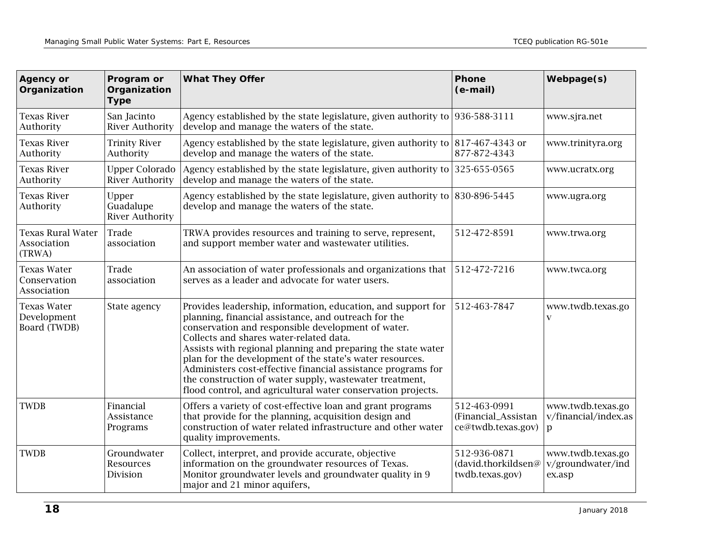| <b>Agency or</b><br>Organization                  | Program or<br>Organization<br><b>Type</b>       | <b>What They Offer</b>                                                                                                                                                                                                                                                                                                                                                                                                                                                                                                                       | Phone<br>(e-mail)                                         | Webpage(s)                                       |
|---------------------------------------------------|-------------------------------------------------|----------------------------------------------------------------------------------------------------------------------------------------------------------------------------------------------------------------------------------------------------------------------------------------------------------------------------------------------------------------------------------------------------------------------------------------------------------------------------------------------------------------------------------------------|-----------------------------------------------------------|--------------------------------------------------|
| <b>Texas River</b><br>Authority                   | San Jacinto<br><b>River Authority</b>           | Agency established by the state legislature, given authority to $ 936-588-3111$<br>develop and manage the waters of the state.                                                                                                                                                                                                                                                                                                                                                                                                               |                                                           | www.sjra.net                                     |
| <b>Texas River</b><br>Authority                   | <b>Trinity River</b><br>Authority               | Agency established by the state legislature, given authority to 817-467-4343 or<br>develop and manage the waters of the state.                                                                                                                                                                                                                                                                                                                                                                                                               | 877-872-4343                                              | www.trinityra.org                                |
| <b>Texas River</b><br>Authority                   | <b>Upper Colorado</b><br><b>River Authority</b> | Agency established by the state legislature, given authority to 325-655-0565<br>develop and manage the waters of the state.                                                                                                                                                                                                                                                                                                                                                                                                                  |                                                           | www.ucratx.org                                   |
| <b>Texas River</b><br>Authority                   | Upper<br>Guadalupe<br><b>River Authority</b>    | Agency established by the state legislature, given authority to $ 830-896-5445$<br>develop and manage the waters of the state.                                                                                                                                                                                                                                                                                                                                                                                                               |                                                           | www.ugra.org                                     |
| <b>Texas Rural Water</b><br>Association<br>(TRWA) | Trade<br>association                            | TRWA provides resources and training to serve, represent,<br>and support member water and wastewater utilities.                                                                                                                                                                                                                                                                                                                                                                                                                              | 512-472-8591                                              | www.trwa.org                                     |
| <b>Texas Water</b><br>Conservation<br>Association | Trade<br>association                            | An association of water professionals and organizations that<br>serves as a leader and advocate for water users.                                                                                                                                                                                                                                                                                                                                                                                                                             | 512-472-7216                                              | www.twca.org                                     |
| <b>Texas Water</b><br>Development<br>Board (TWDB) | State agency                                    | Provides leadership, information, education, and support for<br>planning, financial assistance, and outreach for the<br>conservation and responsible development of water.<br>Collects and shares water-related data.<br>Assists with regional planning and preparing the state water<br>plan for the development of the state's water resources.<br>Administers cost-effective financial assistance programs for<br>the construction of water supply, wastewater treatment,<br>flood control, and agricultural water conservation projects. | 512-463-7847                                              | www.twdb.texas.go<br>$\mathbf{V}$                |
| <b>TWDB</b>                                       | Financial<br>Assistance<br>Programs             | Offers a variety of cost-effective loan and grant programs<br>that provide for the planning, acquisition design and<br>construction of water related infrastructure and other water<br>quality improvements.                                                                                                                                                                                                                                                                                                                                 | 512-463-0991<br>(Financial_Assistan<br>ce@twdb.texas.gov) | www.twdb.texas.go<br>v/financial/index.as<br>p   |
| <b>TWDB</b>                                       | Groundwater<br>Resources<br>Division            | Collect, interpret, and provide accurate, objective<br>information on the groundwater resources of Texas.<br>Monitor groundwater levels and groundwater quality in 9<br>major and 21 minor aquifers,                                                                                                                                                                                                                                                                                                                                         | 512-936-0871<br>(david.thorkildsen@<br>twdb.texas.gov)    | www.twdb.texas.go<br>v/groundwater/ind<br>ex.asp |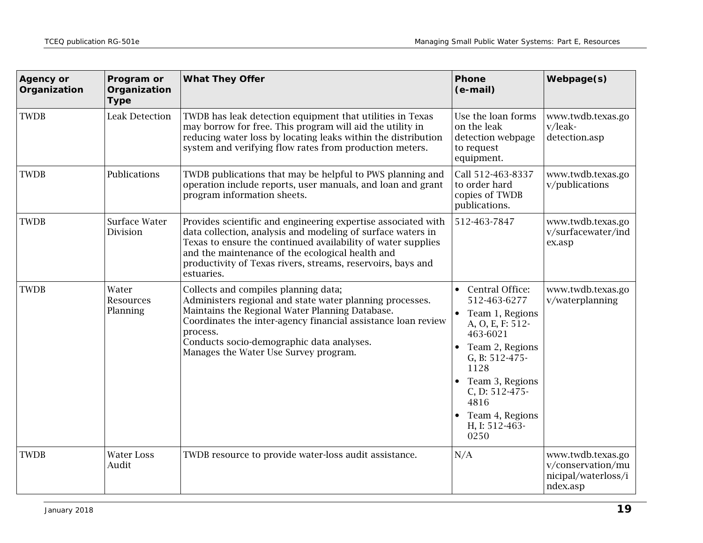| <b>Agency or</b><br>Organization | Program or<br>Organization<br><b>Type</b> | <b>What They Offer</b>                                                                                                                                                                                                                                                                                                        | Phone<br>(e-mail)                                                                                                                                                                                                                                   | Webpage(s)                                                                |
|----------------------------------|-------------------------------------------|-------------------------------------------------------------------------------------------------------------------------------------------------------------------------------------------------------------------------------------------------------------------------------------------------------------------------------|-----------------------------------------------------------------------------------------------------------------------------------------------------------------------------------------------------------------------------------------------------|---------------------------------------------------------------------------|
| <b>TWDB</b>                      | <b>Leak Detection</b>                     | TWDB has leak detection equipment that utilities in Texas<br>may borrow for free. This program will aid the utility in<br>reducing water loss by locating leaks within the distribution<br>system and verifying flow rates from production meters.                                                                            | Use the loan forms<br>on the leak<br>detection webpage<br>to request<br>equipment.                                                                                                                                                                  | www.twdb.texas.go<br>v/leak-<br>detection.asp                             |
| <b>TWDB</b>                      | Publications                              | TWDB publications that may be helpful to PWS planning and<br>operation include reports, user manuals, and loan and grant<br>program information sheets.                                                                                                                                                                       | Call 512-463-8337<br>to order hard<br>copies of TWDB<br>publications.                                                                                                                                                                               | www.twdb.texas.go<br>v/publications                                       |
| <b>TWDB</b>                      | Surface Water<br>Division                 | Provides scientific and engineering expertise associated with<br>data collection, analysis and modeling of surface waters in<br>Texas to ensure the continued availability of water supplies<br>and the maintenance of the ecological health and<br>productivity of Texas rivers, streams, reservoirs, bays and<br>estuaries. | 512-463-7847                                                                                                                                                                                                                                        | www.twdb.texas.go<br>v/surfacewater/ind<br>ex.asp                         |
| <b>TWDB</b>                      | Water<br>Resources<br>Planning            | Collects and compiles planning data;<br>Administers regional and state water planning processes.<br>Maintains the Regional Water Planning Database.<br>Coordinates the inter-agency financial assistance loan review<br>process.<br>Conducts socio-demographic data analyses.<br>Manages the Water Use Survey program.        | Central Office:<br>512-463-6277<br>Team 1, Regions<br>A, O, E, F: 512-<br>463-6021<br>Team 2, Regions<br>$\bullet$<br>G, B: 512-475-<br>1128<br>Team 3, Regions<br>$\bullet$<br>C, D: 512-475-<br>4816<br>Team 4, Regions<br>H, I: 512-463-<br>0250 | www.twdb.texas.go<br>v/waterplanning                                      |
| <b>TWDB</b>                      | <b>Water Loss</b><br>Audit                | TWDB resource to provide water-loss audit assistance.                                                                                                                                                                                                                                                                         | N/A                                                                                                                                                                                                                                                 | www.twdb.texas.go<br>v/conservation/mu<br>nicipal/waterloss/i<br>ndex.asp |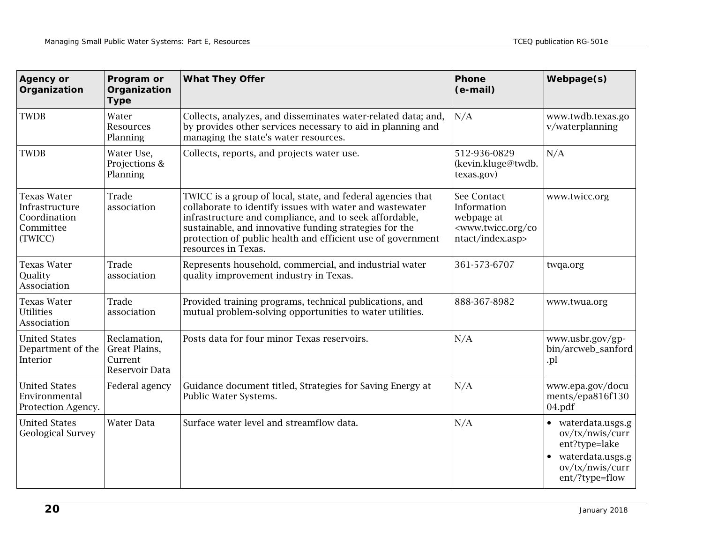| <b>Agency or</b><br>Organization                                             | Program or<br>Organization<br><b>Type</b>                  | <b>What They Offer</b>                                                                                                                                                                                                                                                                                                            | Phone<br>(e-mail)                                                                                       | Webpage(s)                                                                                                                   |
|------------------------------------------------------------------------------|------------------------------------------------------------|-----------------------------------------------------------------------------------------------------------------------------------------------------------------------------------------------------------------------------------------------------------------------------------------------------------------------------------|---------------------------------------------------------------------------------------------------------|------------------------------------------------------------------------------------------------------------------------------|
| <b>TWDB</b>                                                                  | Water<br>Resources<br>Planning                             | Collects, analyzes, and disseminates water-related data; and,<br>by provides other services necessary to aid in planning and<br>managing the state's water resources.                                                                                                                                                             | N/A                                                                                                     | www.twdb.texas.go<br>v/waterplanning                                                                                         |
| <b>TWDB</b>                                                                  | Water Use,<br>Projections &<br>Planning                    | Collects, reports, and projects water use.                                                                                                                                                                                                                                                                                        | 512-936-0829<br>(kevin.kluge@twdb.<br>texas.gov)                                                        | N/A                                                                                                                          |
| <b>Texas Water</b><br>Infrastructure<br>Coordination<br>Committee<br>(TWICC) | Trade<br>association                                       | TWICC is a group of local, state, and federal agencies that<br>collaborate to identify issues with water and wastewater<br>infrastructure and compliance, and to seek affordable,<br>sustainable, and innovative funding strategies for the<br>protection of public health and efficient use of government<br>resources in Texas. | See Contact<br>Information<br>webpage at<br><www.twicc.org co<br="">ntact/index.asp&gt;</www.twicc.org> | www.twicc.org                                                                                                                |
| <b>Texas Water</b><br>Quality<br>Association                                 | Trade<br>association                                       | Represents household, commercial, and industrial water<br>quality improvement industry in Texas.                                                                                                                                                                                                                                  | 361-573-6707                                                                                            | twqa.org                                                                                                                     |
| <b>Texas Water</b><br><b>Utilities</b><br>Association                        | Trade<br>association                                       | Provided training programs, technical publications, and<br>mutual problem-solving opportunities to water utilities.                                                                                                                                                                                                               | 888-367-8982                                                                                            | www.twua.org                                                                                                                 |
| <b>United States</b><br>Department of the<br>Interior                        | Reclamation,<br>Great Plains,<br>Current<br>Reservoir Data | Posts data for four minor Texas reservoirs.                                                                                                                                                                                                                                                                                       | N/A                                                                                                     | www.usbr.gov/gp-<br>bin/arcweb_sanford<br>.pl                                                                                |
| <b>United States</b><br>Environmental<br>Protection Agency.                  | Federal agency                                             | Guidance document titled, Strategies for Saving Energy at<br>Public Water Systems.                                                                                                                                                                                                                                                | N/A                                                                                                     | www.epa.gov/docu<br>ments/epa816f130<br>04.pdf                                                                               |
| <b>United States</b><br><b>Geological Survey</b>                             | Water Data                                                 | Surface water level and streamflow data.                                                                                                                                                                                                                                                                                          | N/A                                                                                                     | • waterdata.usgs.g<br>ov/tx/nwis/curr<br>ent?type=lake<br>waterdata.usgs.g<br>$\bullet$<br>ov/tx/nwis/curr<br>ent/?type=flow |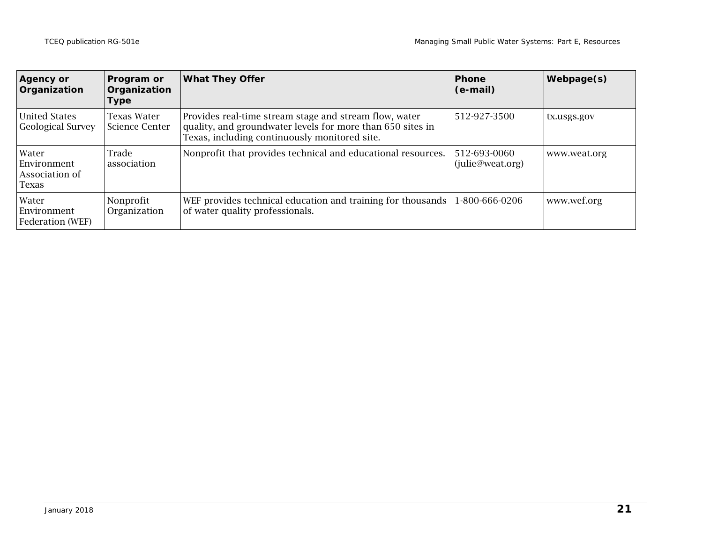| <b>Agency or</b><br>Organization                | <b>Program or</b><br>Organization<br><b>Type</b> | <b>What They Offer</b>                                                                                                                                                | <b>Phone</b><br>(e-mail)         | <b>Webpage(s)</b> |
|-------------------------------------------------|--------------------------------------------------|-----------------------------------------------------------------------------------------------------------------------------------------------------------------------|----------------------------------|-------------------|
| United States<br><b>Geological Survey</b>       | Texas Water<br><b>Science Center</b>             | Provides real-time stream stage and stream flow, water<br>quality, and groundwater levels for more than 650 sites in<br>Texas, including continuously monitored site. | 512-927-3500                     | tx.usgs.gov       |
| Water<br>Environment<br>Association of<br>Texas | Trade<br>association                             | Nonprofit that provides technical and educational resources.                                                                                                          | 512-693-0060<br>(julie@weat.org) | www.weat.org      |
| Water<br>Environment<br><b>Federation</b> (WEF) | Nonprofit<br>Organization                        | WEF provides technical education and training for thousands<br>of water quality professionals.                                                                        | 1-800-666-0206                   | www.wef.org       |